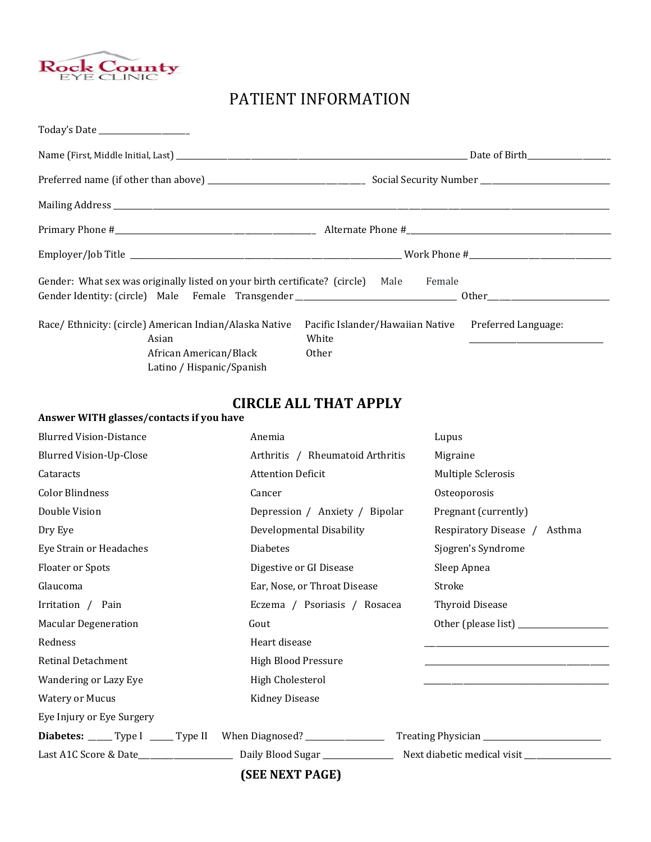

Answer WITH glasses/contacts if you have

## PATIENT INFORMATION

| Gender: What sex was originally listed on your birth certificate? (circle) Male | Female                           |                     |
|---------------------------------------------------------------------------------|----------------------------------|---------------------|
|                                                                                 |                                  |                     |
| Race/ Ethnicity: (circle) American Indian/Alaska Native                         | Pacific Islander/Hawaiian Native | Preferred Language: |
| Asian                                                                           | White                            |                     |
| African American/Black                                                          | Other                            |                     |
| Latino / Hispanic/Spanish                                                       |                                  |                     |

### CIRCLE ALL THAT APPLY

# Blurred Vision-Distance Anemia Lupus Blurred Vision-Up-Close **Arthritis / Rheumatoid Arthritis** Migraine Cataracts **Attention Deficit** Multiple Sclerosis Attention Deficit Multiple Sclerosis Color Blindness Cancer Osteoporosis Double Vision **Depression / Anxiety / Bipolar** Pregnant (currently) Dry Eye Developmental Disability Respiratory Disease / Asthma Eye Strain or Headaches **Syndrome** Diabetes **Conserversion Syndrome** Sjogren's Syndrome Floater or Spots **Example 2** Digestive or GI Disease Sleep Apnea Glaucoma **Ear, Nose, or Throat Disease** Stroke Stroke Irritation / Pain Eczema / Psoriasis / Rosacea Thyroid Disease Macular Degeneration and Gout Gout Contract Contract Contract Contract Contract Other (please list) \_\_\_\_\_\_\_\_\_ Redness Heart disease Retinal Detachment High Blood Pressure Wandering or Lazy Eye High Cholesterol Watery or Mucus **Kidney Disease** Eye Injury or Eye Surgery

| <b>Diabetes:</b> _____ Type I _____ Type II When Diagnosed? |                   | Treating Physician          |
|-------------------------------------------------------------|-------------------|-----------------------------|
| Last A1C Score & Date                                       | Daily Blood Sugar | Next diabetic medical visit |

(SEE NEXT PAGE)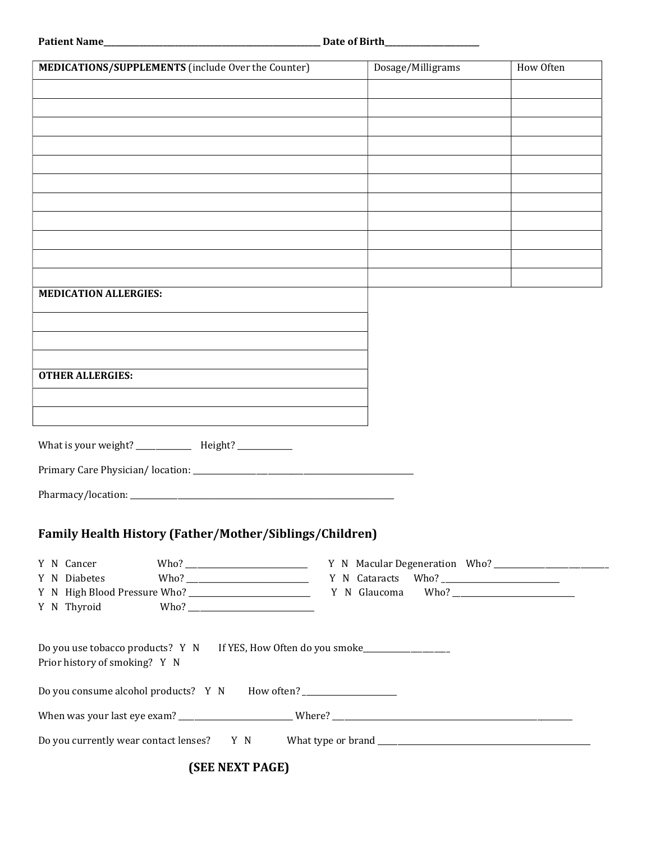| MEDICATIONS/SUPPLEMENTS (include Over the Counter)                                                                | Dosage/Milligrams | How Often |
|-------------------------------------------------------------------------------------------------------------------|-------------------|-----------|
|                                                                                                                   |                   |           |
|                                                                                                                   |                   |           |
|                                                                                                                   |                   |           |
|                                                                                                                   |                   |           |
|                                                                                                                   |                   |           |
|                                                                                                                   |                   |           |
|                                                                                                                   |                   |           |
|                                                                                                                   |                   |           |
|                                                                                                                   |                   |           |
|                                                                                                                   |                   |           |
| <b>MEDICATION ALLERGIES:</b>                                                                                      |                   |           |
|                                                                                                                   |                   |           |
|                                                                                                                   |                   |           |
|                                                                                                                   |                   |           |
| <b>OTHER ALLERGIES:</b>                                                                                           |                   |           |
|                                                                                                                   |                   |           |
|                                                                                                                   |                   |           |
|                                                                                                                   |                   |           |
| What is your weight? ______________ Height? ___________                                                           |                   |           |
|                                                                                                                   |                   |           |
|                                                                                                                   |                   |           |
|                                                                                                                   |                   |           |
| <b>Family Health History (Father/Mother/Siblings/Children)</b>                                                    |                   |           |
|                                                                                                                   |                   |           |
| Y N Cancer<br>Y N Diabetes                                                                                        |                   |           |
|                                                                                                                   |                   |           |
| Y N Thyroid                                                                                                       |                   |           |
|                                                                                                                   |                   |           |
| Do you use tobacco products? Y N If YES, How Often do you smoke_________________<br>Prior history of smoking? Y N |                   |           |
| Do you consume alcohol products? Y N How often? ___________________                                               |                   |           |
|                                                                                                                   |                   |           |
| Do you currently wear contact lenses? Y N                                                                         |                   |           |

(SEE NEXT PAGE)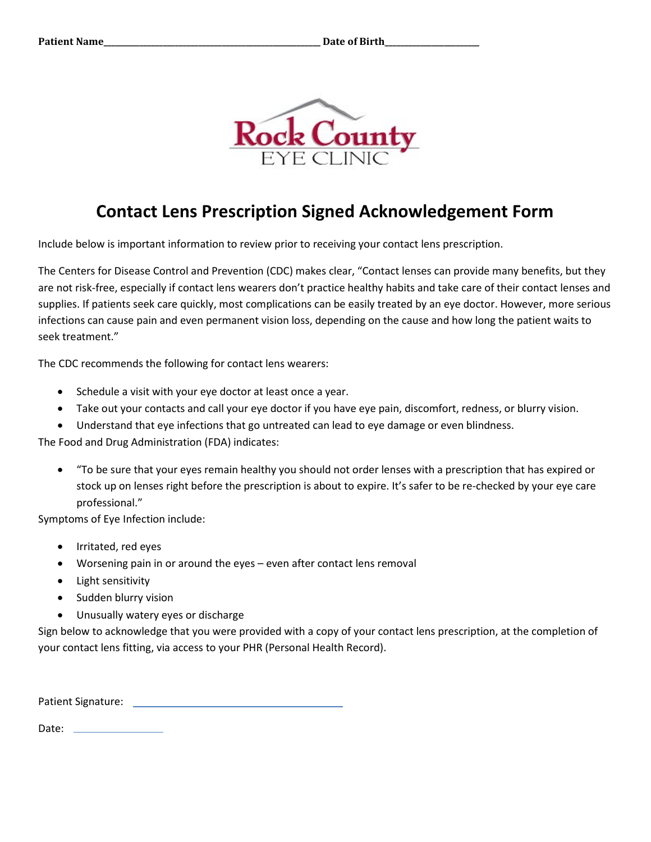

# Contact Lens Prescription Signed Acknowledgement Form

Include below is important information to review prior to receiving your contact lens prescription.

The Centers for Disease Control and Prevention (CDC) makes clear, "Contact lenses can provide many benefits, but they are not risk-free, especially if contact lens wearers don't practice healthy habits and take care of their contact lenses and supplies. If patients seek care quickly, most complications can be easily treated by an eye doctor. However, more serious infections can cause pain and even permanent vision loss, depending on the cause and how long the patient waits to seek treatment."

The CDC recommends the following for contact lens wearers:

- Schedule a visit with your eye doctor at least once a year.
- Take out your contacts and call your eye doctor if you have eye pain, discomfort, redness, or blurry vision.
- Understand that eye infections that go untreated can lead to eye damage or even blindness.

The Food and Drug Administration (FDA) indicates:

 "To be sure that your eyes remain healthy you should not order lenses with a prescription that has expired or stock up on lenses right before the prescription is about to expire. It's safer to be re-checked by your eye care professional."

Symptoms of Eye Infection include:

- Irritated, red eyes
- Worsening pain in or around the eyes even after contact lens removal
- Light sensitivity
- Sudden blurry vision
- Unusually watery eyes or discharge

Sign below to acknowledge that you were provided with a copy of your contact lens prescription, at the completion of your contact lens fitting, via access to your PHR (Personal Health Record).

Patient Signature:

Date: \_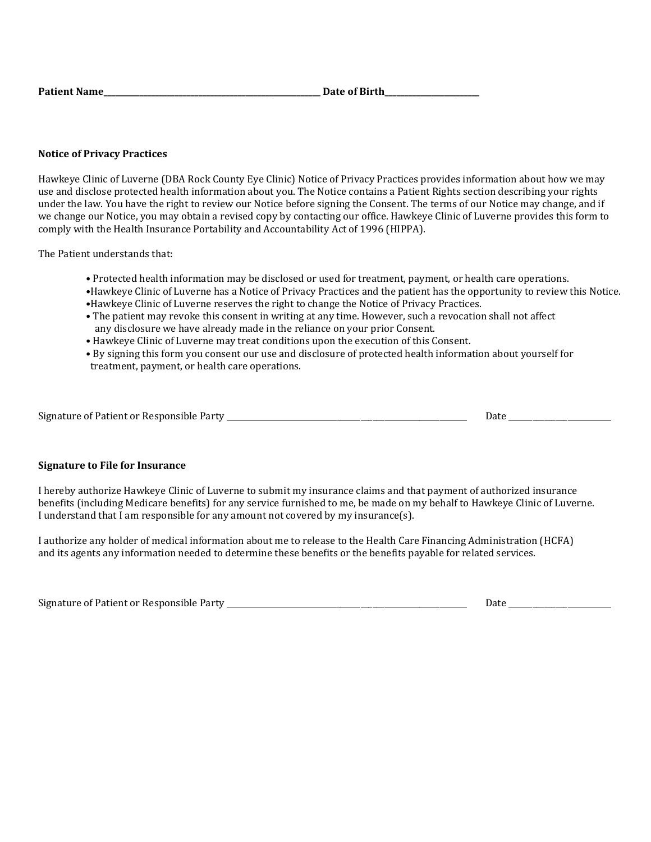| <b>Patient Name</b> | Date of Birth |
|---------------------|---------------|
|---------------------|---------------|

### Notice of Privacy Practices

Hawkeye Clinic of Luverne (DBA Rock County Eye Clinic) Notice of Privacy Practices provides information about how we may use and disclose protected health information about you. The Notice contains a Patient Rights section describing your rights under the law. You have the right to review our Notice before signing the Consent. The terms of our Notice may change, and if we change our Notice, you may obtain a revised copy by contacting our office. Hawkeye Clinic of Luverne provides this form to comply with the Health Insurance Portability and Accountability Act of 1996 (HIPPA).

The Patient understands that:

- Protected health information may be disclosed or used for treatment, payment, or health care operations.
- •Hawkeye Clinic of Luverne has a Notice of Privacy Practices and the patient has the opportunity to review this Notice. •Hawkeye Clinic of Luverne reserves the right to change the Notice of Privacy Practices.
- The patient may revoke this consent in writing at any time. However, such a revocation shall not affect any disclosure we have already made in the reliance on your prior Consent.
- Hawkeye Clinic of Luverne may treat conditions upon the execution of this Consent.
- By signing this form you consent our use and disclosure of protected health information about yourself for treatment, payment, or health care operations.

#### Signature to File for Insurance

I hereby authorize Hawkeye Clinic of Luverne to submit my insurance claims and that payment of authorized insurance benefits (including Medicare benefits) for any service furnished to me, be made on my behalf to Hawkeye Clinic of Luverne. I understand that I am responsible for any amount not covered by my insurance(s).

I authorize any holder of medical information about me to release to the Health Care Financing Administration (HCFA) and its agents any information needed to determine these benefits or the benefits payable for related services.

| Signature of Patient or Responsible Party |  |
|-------------------------------------------|--|